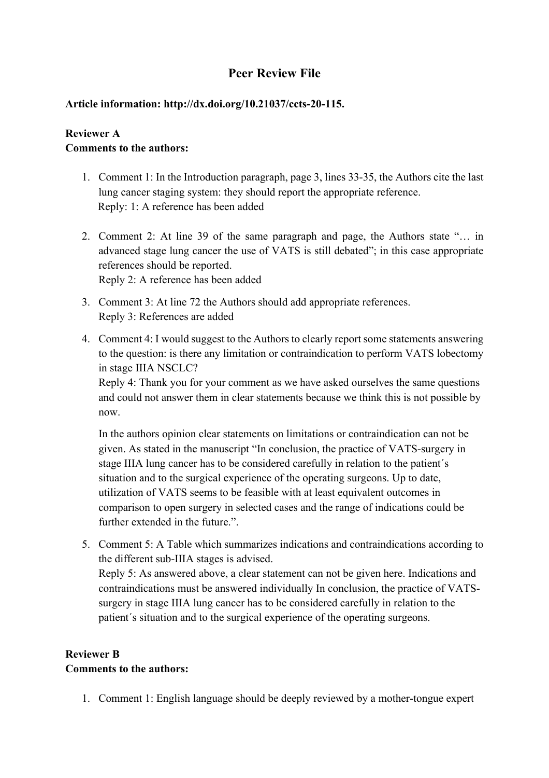# **Peer Review File**

#### **Article information: http://dx.doi.org/10.21037/ccts-20-115.**

#### **Reviewer A Comments to the authors:**

- 1. Comment 1: In the Introduction paragraph, page 3, lines 33-35, the Authors cite the last lung cancer staging system: they should report the appropriate reference. Reply: 1: A reference has been added
- 2. Comment 2: At line 39 of the same paragraph and page, the Authors state "… in advanced stage lung cancer the use of VATS is still debated"; in this case appropriate references should be reported. Reply 2: A reference has been added
- 3. Comment 3: At line 72 the Authors should add appropriate references. Reply 3: References are added
- 4. Comment 4: I would suggest to the Authors to clearly report some statements answering to the question: is there any limitation or contraindication to perform VATS lobectomy in stage IIIA NSCLC?

Reply 4: Thank you for your comment as we have asked ourselves the same questions and could not answer them in clear statements because we think this is not possible by now.

In the authors opinion clear statements on limitations or contraindication can not be given. As stated in the manuscript "In conclusion, the practice of VATS-surgery in stage IIIA lung cancer has to be considered carefully in relation to the patient´s situation and to the surgical experience of the operating surgeons. Up to date, utilization of VATS seems to be feasible with at least equivalent outcomes in comparison to open surgery in selected cases and the range of indications could be further extended in the future.".

5. Comment 5: A Table which summarizes indications and contraindications according to the different sub-IIIA stages is advised. Reply 5: As answered above, a clear statement can not be given here. Indications and contraindications must be answered individually In conclusion, the practice of VATSsurgery in stage IIIA lung cancer has to be considered carefully in relation to the patient´s situation and to the surgical experience of the operating surgeons.

## **Reviewer B Comments to the authors:**

1. Comment 1: English language should be deeply reviewed by a mother-tongue expert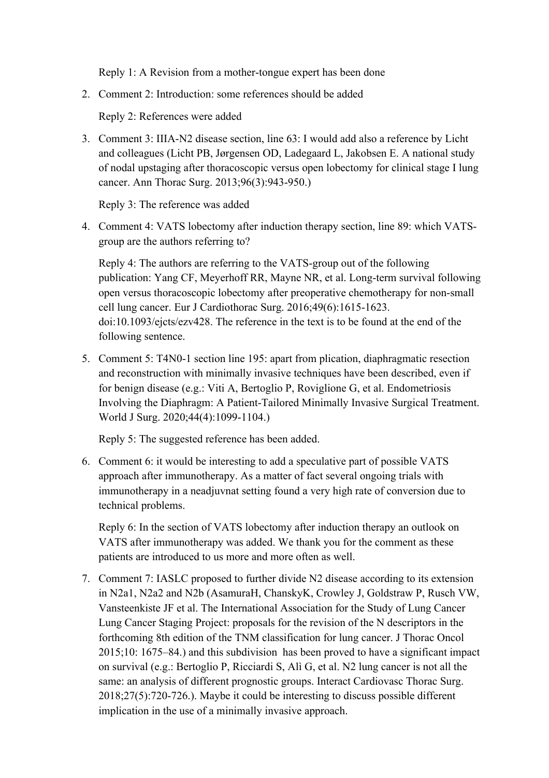Reply 1: A Revision from a mother-tongue expert has been done

2. Comment 2: Introduction: some references should be added

Reply 2: References were added

3. Comment 3: IIIA-N2 disease section, line 63: I would add also a reference by Licht and colleagues (Licht PB, Jørgensen OD, Ladegaard L, Jakobsen E. A national study of nodal upstaging after thoracoscopic versus open lobectomy for clinical stage I lung cancer. Ann Thorac Surg. 2013;96(3):943-950.)

Reply 3: The reference was added

4. Comment 4: VATS lobectomy after induction therapy section, line 89: which VATSgroup are the authors referring to?

Reply 4: The authors are referring to the VATS-group out of the following publication: Yang CF, Meyerhoff RR, Mayne NR, et al. Long-term survival following open versus thoracoscopic lobectomy after preoperative chemotherapy for non-small cell lung cancer. Eur J Cardiothorac Surg. 2016;49(6):1615‐1623. doi:10.1093/ejcts/ezv428. The reference in the text is to be found at the end of the following sentence.

5. Comment 5: T4N0-1 section line 195: apart from plication, diaphragmatic resection and reconstruction with minimally invasive techniques have been described, even if for benign disease (e.g.: Viti A, Bertoglio P, Roviglione G, et al. Endometriosis Involving the Diaphragm: A Patient-Tailored Minimally Invasive Surgical Treatment. World J Surg. 2020;44(4):1099-1104.)

Reply 5: The suggested reference has been added.

6. Comment 6: it would be interesting to add a speculative part of possible VATS approach after immunotherapy. As a matter of fact several ongoing trials with immunotherapy in a neadjuvnat setting found a very high rate of conversion due to technical problems.

Reply 6: In the section of VATS lobectomy after induction therapy an outlook on VATS after immunotherapy was added. We thank you for the comment as these patients are introduced to us more and more often as well.

7. Comment 7: IASLC proposed to further divide N2 disease according to its extension in N2a1, N2a2 and N2b (AsamuraH, ChanskyK, Crowley J, Goldstraw P, Rusch VW, Vansteenkiste JF et al. The International Association for the Study of Lung Cancer Lung Cancer Staging Project: proposals for the revision of the N descriptors in the forthcoming 8th edition of the TNM classification for lung cancer. J Thorac Oncol 2015;10: 1675–84.) and this subdivision has been proved to have a significant impact on survival (e.g.: Bertoglio P, Ricciardi S, Alì G, et al. N2 lung cancer is not all the same: an analysis of different prognostic groups. Interact Cardiovasc Thorac Surg. 2018;27(5):720-726.). Maybe it could be interesting to discuss possible different implication in the use of a minimally invasive approach.